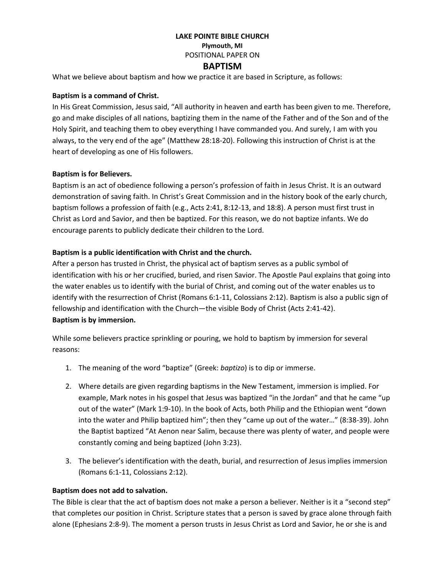### **LAKE POINTE BIBLE CHURCH Plymouth, MI** POSITIONAL PAPER ON

# **BAPTISM**

What we believe about baptism and how we practice it are based in Scripture, as follows:

## **Baptism is a command of Christ.**

In His Great Commission, Jesus said, "All authority in heaven and earth has been given to me. Therefore, go and make disciples of all nations, baptizing them in the name of the Father and of the Son and of the Holy Spirit, and teaching them to obey everything I have commanded you. And surely, I am with you always, to the very end of the age" ([Matthew 28:18-20\)](https://biblia.com/bible/niv/Matt%2028.18-20). Following this instruction of Christ is at the heart of developing as one of His followers.

## **Baptism is for Believers.**

Baptism is an act of obedience following a person's profession of faith in Jesus Christ. It is an outward demonstration of saving faith. In Christ's Great Commission and in the history book of the early church, baptism follows a profession of faith (e.g., [Acts 2:41,](https://biblia.com/bible/niv/Acts%202.41) [8:12-13,](https://biblia.com/bible/niv/Acts%208.12-13) and [18:8\)](https://biblia.com/bible/niv/Acts%2018.8). A person must first trust in Christ as Lord and Savior, and then be baptized. For this reason, we do not baptize infants. We do encourage parents to publicly dedicate their children to the Lord.

### **Baptism is a public identification with Christ and the church.**

After a person has trusted in Christ, the physical act of baptism serves as a public symbol of identification with his or her crucified, buried, and risen Savior. The Apostle Paul explains that going into the water enables us to identify with the burial of Christ, and coming out of the water enables us to identify with the resurrection of Christ [\(Romans 6:1-11,](https://biblia.com/bible/niv/Rom%206.1-11) [Colossians 2:12\)](https://biblia.com/bible/niv/Col%202.12). Baptism is also a public sign of fellowship and identification with the Church—the visible Body of Christ [\(Acts 2:41-42\)](https://biblia.com/bible/niv/Acts%202.41-42). **Baptism is by immersion.**

While some believers practice sprinkling or pouring, we hold to baptism by immersion for several reasons:

- 1. The meaning of the word "baptize" (Greek: *baptizo*) is to dip or immerse.
- 2. Where details are given regarding baptisms in the New Testament, immersion is implied. For example, Mark notes in his gospel that Jesus was baptized "in the Jordan" and that he came "up out of the water" ([Mark 1:9-10](https://biblia.com/bible/niv/Mark%201.9-10)). In the book of Acts, both Philip and the Ethiopian went "down into the water and Philip baptized him"; then they "came up out of the water…" (8:38-39). John the Baptist baptized "At Aenon near Salim, because there was plenty of water, and people were constantly coming and being baptized [\(John 3:23\)](https://biblia.com/bible/niv/John%203.23).
- 3. The believer's identification with the death, burial, and resurrection of Jesus implies immersion [\(Romans 6:1-11,](https://biblia.com/bible/niv/Rom%206.1-11) [Colossians 2:12\)](https://biblia.com/bible/niv/Col%202.12).

#### **Baptism does not add to salvation.**

The Bible is clear that the act of baptism does not make a person a believer. Neither is it a "second step" that completes our position in Christ. Scripture states that a person is saved by grace alone through faith alone [\(Ephesians 2:8-9\)](https://biblia.com/bible/niv/Eph%202.8-9). The moment a person trusts in Jesus Christ as Lord and Savior, he or she is and